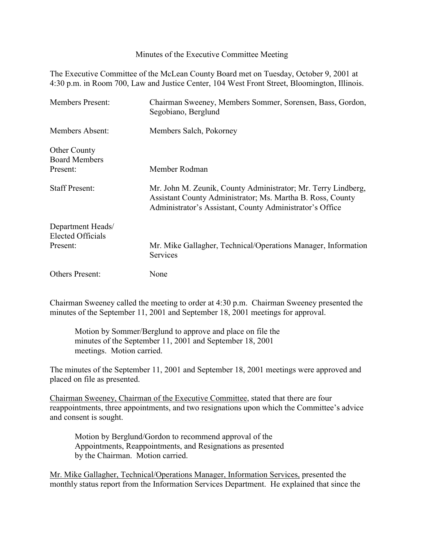Minutes of the Executive Committee Meeting

The Executive Committee of the McLean County Board met on Tuesday, October 9, 2001 at 4:30 p.m. in Room 700, Law and Justice Center, 104 West Front Street, Bloomington, Illinois.

| <b>Members Present:</b>                     | Chairman Sweeney, Members Sommer, Sorensen, Bass, Gordon,<br>Segobiano, Berglund                                                                                                        |
|---------------------------------------------|-----------------------------------------------------------------------------------------------------------------------------------------------------------------------------------------|
| Members Absent:                             | Members Salch, Pokorney                                                                                                                                                                 |
| <b>Other County</b><br><b>Board Members</b> |                                                                                                                                                                                         |
| Present:                                    | Member Rodman                                                                                                                                                                           |
| <b>Staff Present:</b>                       | Mr. John M. Zeunik, County Administrator; Mr. Terry Lindberg,<br>Assistant County Administrator; Ms. Martha B. Ross, County<br>Administrator's Assistant, County Administrator's Office |
| Department Heads/<br>Elected Officials      |                                                                                                                                                                                         |
| Present:                                    | Mr. Mike Gallagher, Technical/Operations Manager, Information<br>Services                                                                                                               |
| <b>Others Present:</b>                      | None                                                                                                                                                                                    |

Chairman Sweeney called the meeting to order at 4:30 p.m. Chairman Sweeney presented the minutes of the September 11, 2001 and September 18, 2001 meetings for approval.

Motion by Sommer/Berglund to approve and place on file the minutes of the September 11, 2001 and September 18, 2001 meetings. Motion carried.

The minutes of the September 11, 2001 and September 18, 2001 meetings were approved and placed on file as presented.

Chairman Sweeney, Chairman of the Executive Committee, stated that there are four reappointments, three appointments, and two resignations upon which the Committee's advice and consent is sought.

Motion by Berglund/Gordon to recommend approval of the Appointments, Reappointments, and Resignations as presented by the Chairman. Motion carried.

Mr. Mike Gallagher, Technical/Operations Manager, Information Services, presented the monthly status report from the Information Services Department. He explained that since the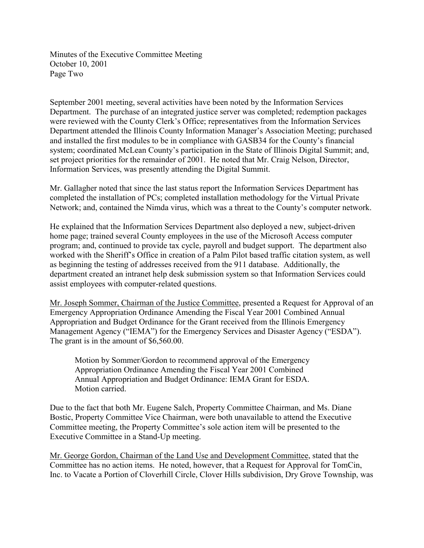Minutes of the Executive Committee Meeting October 10, 2001 Page Two

September 2001 meeting, several activities have been noted by the Information Services Department. The purchase of an integrated justice server was completed; redemption packages were reviewed with the County Clerk's Office; representatives from the Information Services Department attended the Illinois County Information Manager's Association Meeting; purchased and installed the first modules to be in compliance with GASB34 for the County's financial system; coordinated McLean County's participation in the State of Illinois Digital Summit; and, set project priorities for the remainder of 2001. He noted that Mr. Craig Nelson, Director, Information Services, was presently attending the Digital Summit.

Mr. Gallagher noted that since the last status report the Information Services Department has completed the installation of PCs; completed installation methodology for the Virtual Private Network; and, contained the Nimda virus, which was a threat to the County's computer network.

He explained that the Information Services Department also deployed a new, subject-driven home page; trained several County employees in the use of the Microsoft Access computer program; and, continued to provide tax cycle, payroll and budget support. The department also worked with the Sheriff's Office in creation of a Palm Pilot based traffic citation system, as well as beginning the testing of addresses received from the 911 database. Additionally, the department created an intranet help desk submission system so that Information Services could assist employees with computer-related questions.

Mr. Joseph Sommer, Chairman of the Justice Committee, presented a Request for Approval of an Emergency Appropriation Ordinance Amending the Fiscal Year 2001 Combined Annual Appropriation and Budget Ordinance for the Grant received from the Illinois Emergency Management Agency ("IEMA") for the Emergency Services and Disaster Agency ("ESDA"). The grant is in the amount of \$6,560.00.

Motion by Sommer/Gordon to recommend approval of the Emergency Appropriation Ordinance Amending the Fiscal Year 2001 Combined Annual Appropriation and Budget Ordinance: IEMA Grant for ESDA. Motion carried.

Due to the fact that both Mr. Eugene Salch, Property Committee Chairman, and Ms. Diane Bostic, Property Committee Vice Chairman, were both unavailable to attend the Executive Committee meeting, the Property Committee's sole action item will be presented to the Executive Committee in a Stand-Up meeting.

Mr. George Gordon, Chairman of the Land Use and Development Committee, stated that the Committee has no action items. He noted, however, that a Request for Approval for TomCin, Inc. to Vacate a Portion of Cloverhill Circle, Clover Hills subdivision, Dry Grove Township, was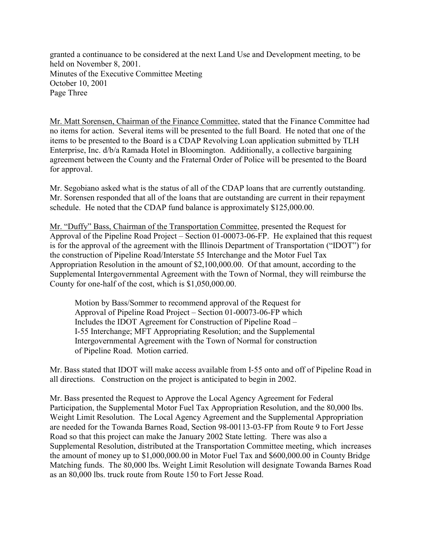granted a continuance to be considered at the next Land Use and Development meeting, to be held on November 8, 2001. Minutes of the Executive Committee Meeting October 10, 2001 Page Three

Mr. Matt Sorensen, Chairman of the Finance Committee, stated that the Finance Committee had no items for action. Several items will be presented to the full Board. He noted that one of the items to be presented to the Board is a CDAP Revolving Loan application submitted by TLH Enterprise, Inc. d/b/a Ramada Hotel in Bloomington. Additionally, a collective bargaining agreement between the County and the Fraternal Order of Police will be presented to the Board for approval.

Mr. Segobiano asked what is the status of all of the CDAP loans that are currently outstanding. Mr. Sorensen responded that all of the loans that are outstanding are current in their repayment schedule. He noted that the CDAP fund balance is approximately \$125,000.00.

Mr. "Duffy" Bass, Chairman of the Transportation Committee, presented the Request for Approval of the Pipeline Road Project – Section 01-00073-06-FP. He explained that this request is for the approval of the agreement with the Illinois Department of Transportation ("IDOT") for the construction of Pipeline Road/Interstate 55 Interchange and the Motor Fuel Tax Appropriation Resolution in the amount of \$2,100,000.00. Of that amount, according to the Supplemental Intergovernmental Agreement with the Town of Normal, they will reimburse the County for one-half of the cost, which is \$1,050,000.00.

Motion by Bass/Sommer to recommend approval of the Request for Approval of Pipeline Road Project – Section 01-00073-06-FP which Includes the IDOT Agreement for Construction of Pipeline Road – I-55 Interchange; MFT Appropriating Resolution; and the Supplemental Intergovernmental Agreement with the Town of Normal for construction of Pipeline Road. Motion carried.

Mr. Bass stated that IDOT will make access available from I-55 onto and off of Pipeline Road in all directions. Construction on the project is anticipated to begin in 2002.

Mr. Bass presented the Request to Approve the Local Agency Agreement for Federal Participation, the Supplemental Motor Fuel Tax Appropriation Resolution, and the 80,000 lbs. Weight Limit Resolution. The Local Agency Agreement and the Supplemental Appropriation are needed for the Towanda Barnes Road, Section 98-00113-03-FP from Route 9 to Fort Jesse Road so that this project can make the January 2002 State letting. There was also a Supplemental Resolution, distributed at the Transportation Committee meeting, which increases the amount of money up to \$1,000,000.00 in Motor Fuel Tax and \$600,000.00 in County Bridge Matching funds. The 80,000 lbs. Weight Limit Resolution will designate Towanda Barnes Road as an 80,000 lbs. truck route from Route 150 to Fort Jesse Road.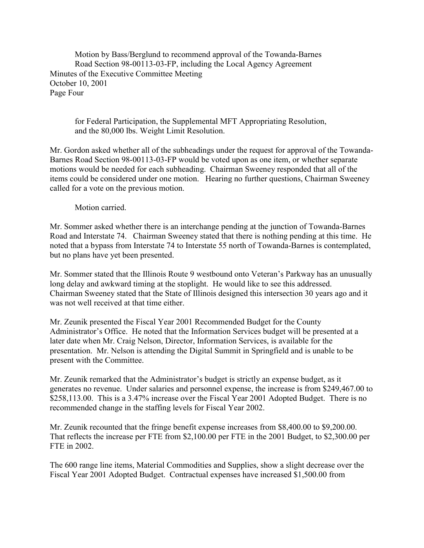Motion by Bass/Berglund to recommend approval of the Towanda-Barnes Road Section 98-00113-03-FP, including the Local Agency Agreement Minutes of the Executive Committee Meeting October 10, 2001 Page Four

for Federal Participation, the Supplemental MFT Appropriating Resolution, and the 80,000 lbs. Weight Limit Resolution.

Mr. Gordon asked whether all of the subheadings under the request for approval of the Towanda-Barnes Road Section 98-00113-03-FP would be voted upon as one item, or whether separate motions would be needed for each subheading. Chairman Sweeney responded that all of the items could be considered under one motion. Hearing no further questions, Chairman Sweeney called for a vote on the previous motion.

## Motion carried.

Mr. Sommer asked whether there is an interchange pending at the junction of Towanda-Barnes Road and Interstate 74. Chairman Sweeney stated that there is nothing pending at this time. He noted that a bypass from Interstate 74 to Interstate 55 north of Towanda-Barnes is contemplated, but no plans have yet been presented.

Mr. Sommer stated that the Illinois Route 9 westbound onto Veteran's Parkway has an unusually long delay and awkward timing at the stoplight. He would like to see this addressed. Chairman Sweeney stated that the State of Illinois designed this intersection 30 years ago and it was not well received at that time either.

Mr. Zeunik presented the Fiscal Year 2001 Recommended Budget for the County Administrator's Office. He noted that the Information Services budget will be presented at a later date when Mr. Craig Nelson, Director, Information Services, is available for the presentation. Mr. Nelson is attending the Digital Summit in Springfield and is unable to be present with the Committee.

Mr. Zeunik remarked that the Administrator's budget is strictly an expense budget, as it generates no revenue. Under salaries and personnel expense, the increase is from \$249,467.00 to \$258,113.00. This is a 3.47% increase over the Fiscal Year 2001 Adopted Budget. There is no recommended change in the staffing levels for Fiscal Year 2002.

Mr. Zeunik recounted that the fringe benefit expense increases from \$8,400.00 to \$9,200.00. That reflects the increase per FTE from \$2,100.00 per FTE in the 2001 Budget, to \$2,300.00 per FTE in 2002.

The 600 range line items, Material Commodities and Supplies, show a slight decrease over the Fiscal Year 2001 Adopted Budget. Contractual expenses have increased \$1,500.00 from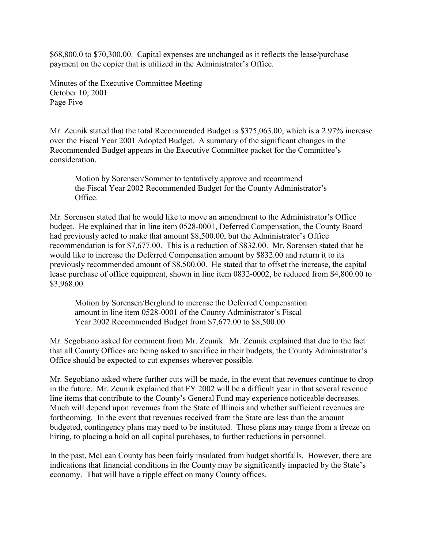\$68,800.0 to \$70,300.00. Capital expenses are unchanged as it reflects the lease/purchase payment on the copier that is utilized in the Administrator's Office.

Minutes of the Executive Committee Meeting October 10, 2001 Page Five

Mr. Zeunik stated that the total Recommended Budget is \$375,063.00, which is a 2.97% increase over the Fiscal Year 2001 Adopted Budget. A summary of the significant changes in the Recommended Budget appears in the Executive Committee packet for the Committee's consideration.

Motion by Sorensen/Sommer to tentatively approve and recommend the Fiscal Year 2002 Recommended Budget for the County Administrator's Office.

Mr. Sorensen stated that he would like to move an amendment to the Administrator's Office budget. He explained that in line item 0528-0001, Deferred Compensation, the County Board had previously acted to make that amount \$8,500.00, but the Administrator's Office recommendation is for \$7,677.00. This is a reduction of \$832.00. Mr. Sorensen stated that he would like to increase the Deferred Compensation amount by \$832.00 and return it to its previously recommended amount of \$8,500.00. He stated that to offset the increase, the capital lease purchase of office equipment, shown in line item 0832-0002, be reduced from \$4,800.00 to \$3,968.00.

Motion by Sorensen/Berglund to increase the Deferred Compensation amount in line item 0528-0001 of the County Administrator's Fiscal Year 2002 Recommended Budget from \$7,677.00 to \$8,500.00

Mr. Segobiano asked for comment from Mr. Zeunik. Mr. Zeunik explained that due to the fact that all County Offices are being asked to sacrifice in their budgets, the County Administrator's Office should be expected to cut expenses wherever possible.

Mr. Segobiano asked where further cuts will be made, in the event that revenues continue to drop in the future. Mr. Zeunik explained that FY 2002 will be a difficult year in that several revenue line items that contribute to the County's General Fund may experience noticeable decreases. Much will depend upon revenues from the State of Illinois and whether sufficient revenues are forthcoming. In the event that revenues received from the State are less than the amount budgeted, contingency plans may need to be instituted. Those plans may range from a freeze on hiring, to placing a hold on all capital purchases, to further reductions in personnel.

In the past, McLean County has been fairly insulated from budget shortfalls. However, there are indications that financial conditions in the County may be significantly impacted by the State's economy. That will have a ripple effect on many County offices.